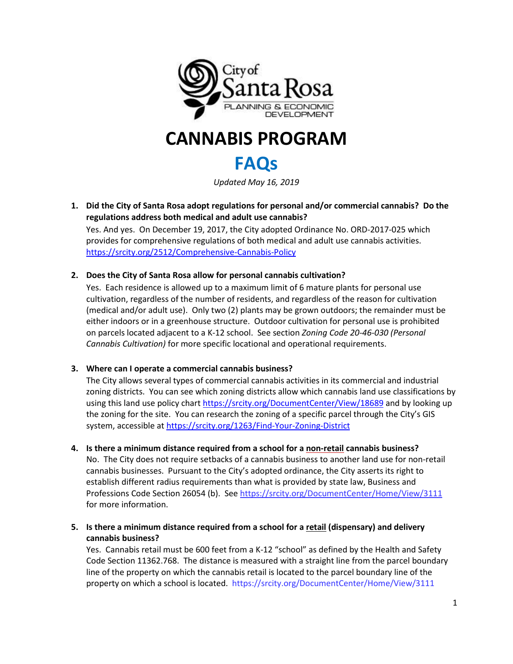

# **CANNABIS PROGRAM**

## **FAQs**

*Updated May 16, 2019*

**1. Did the City of Santa Rosa adopt regulations for personal and/or commercial cannabis? Do the regulations address both medical and adult use cannabis?**

Yes. And yes. On December 19, 2017, the City adopted Ordinance No. ORD-2017-025 which provides for comprehensive regulations of both medical and adult use cannabis activities. <https://srcity.org/2512/Comprehensive-Cannabis-Policy>

#### **2. Does the City of Santa Rosa allow for personal cannabis cultivation?**

Yes. Each residence is allowed up to a maximum limit of 6 mature plants for personal use cultivation, regardless of the number of residents, and regardless of the reason for cultivation (medical and/or adult use). Only two (2) plants may be grown outdoors; the remainder must be either indoors or in a greenhouse structure. Outdoor cultivation for personal use is prohibited on parcels located adjacent to a K-12 school. See section *Zoning Code 20-46-030 (Personal Cannabis Cultivation)* for more specific locational and operational requirements.

#### **3. Where can I operate a commercial cannabis business?**

The City allows several types of commercial cannabis activities in its commercial and industrial zoning districts. You can see which zoning districts allow which cannabis land use classifications by using this land use policy chart <https://srcity.org/DocumentCenter/View/18689> and by looking up the zoning for the site. You can research the zoning of a specific parcel through the City's GIS system, accessible at <https://srcity.org/1263/Find-Your-Zoning-District>

- **4. Is there a minimum distance required from a school for a non-retail cannabis business?** No. The City does not require setbacks of a cannabis business to another land use for non-retail cannabis businesses. Pursuant to the City's adopted ordinance, the City asserts its right to establish different radius requirements than what is provided by state law, Business and Professions Code Section 26054 (b). Se[e https://srcity.org/DocumentCenter/Home/View/3111](https://srcity.org/DocumentCenter/Home/View/3111) for more information.
- **5. Is there a minimum distance required from a school for a retail (dispensary) and delivery cannabis business?**

Yes. Cannabis retail must be 600 feet from a K-12 "school" as defined by the Health and Safety Code Section 11362.768. The distance is measured with a straight line from the parcel boundary line of the property on which the cannabis retail is located to the parcel boundary line of the property on which a school is located. https://srcity.org/DocumentCenter/Home/View/3111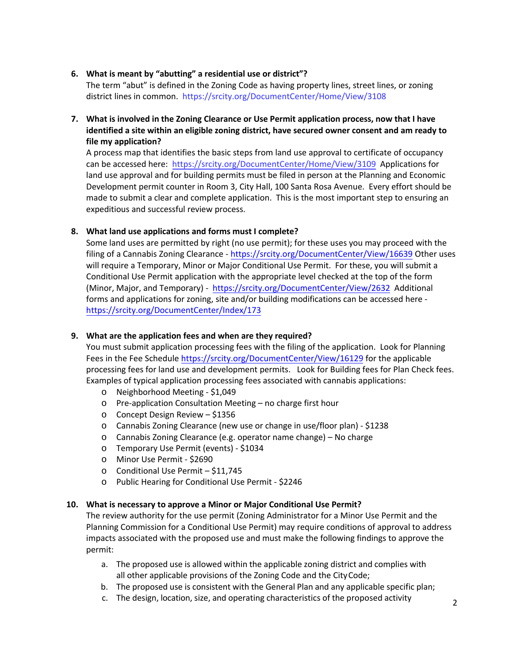#### **6. What is meant by "abutting" a residential use or district"?**

The term "abut" is defined in the Zoning Code as having property lines, street lines, or zoning district lines in common. https://srcity.org/DocumentCenter/Home/View/3108

**7. What is involved in the Zoning Clearance or Use Permit application process, now that I have identified a site within an eligible zoning district, have secured owner consent and am ready to file my application?**

A process map that identifies the basic steps from land use approval to certificate of occupancy can be accessed here: <https://srcity.org/DocumentCenter/Home/View/3109> Applications for land use approval and for building permits must be filed in person at the Planning and Economic Development permit counter in Room 3, City Hall, 100 Santa Rosa Avenue. Every effort should be made to submit a clear and complete application. This is the most important step to ensuring an expeditious and successful review process.

#### **8. What land use applications and forms must I complete?**

Some land uses are permitted by right (no use permit); for these uses you may proceed with the filing of a Cannabis Zoning Clearance - https://[srcity.org/DocumentCenter/View/16639](https://srcity.org/DocumentCenter/View/16639) Other uses will require a Temporary, Minor or Major Conditional Use Permit. For these, you will submit a Conditional Use Permit application with the appropriate level checked at the top of the form (Minor, Major, and Temporary) [- https://srcity.org/Document](https://srcity.org/DocumentCenter/View/2632)Center/View/2632 Additional forms and applications for zoning, site and/or building modifications can be accessed here <https://srcity.org/DocumentCenter/Index/173>

#### **9. What are the application fees and when are they required?**

You must submit application processing fees with the filing of the application. Look for Planning Fees in the Fee Schedul[e https://srcity.org/DocumentCenter/View/16129](https://srcity.org/DocumentCenter/View/16129) for the applicable processing fees for land use and development permits. Look for Building fees for Plan Check fees. Examples of typical application processing fees associated with cannabis applications:

- o Neighborhood Meeting \$1,049
- o Pre-application Consultation Meeting no charge first hour
- o Concept Design Review \$1356
- o Cannabis Zoning Clearance (new use or change in use/floor plan) \$1238
- o Cannabis Zoning Clearance (e.g. operator name change) No charge
- o Temporary Use Permit (events) \$1034
- o Minor Use Permit \$2690
- o Conditional Use Permit \$11,745
- o Public Hearing for Conditional Use Permit \$2246

#### **10. What is necessary to approve a Minor or Major Conditional Use Permit?**

The review authority for the use permit (Zoning Administrator for a Minor Use Permit and the Planning Commission for a Conditional Use Permit) may require conditions of approval to address impacts associated with the proposed use and must make the following findings to approve the permit:

- a. The proposed use is allowed within the applicable zoning district and complies with all other applicable provisions of the Zoning Code and the CityCode;
- b. The proposed use is consistent with the General Plan and any applicable specific plan;
- c. The design, location, size, and operating characteristics of the proposed activity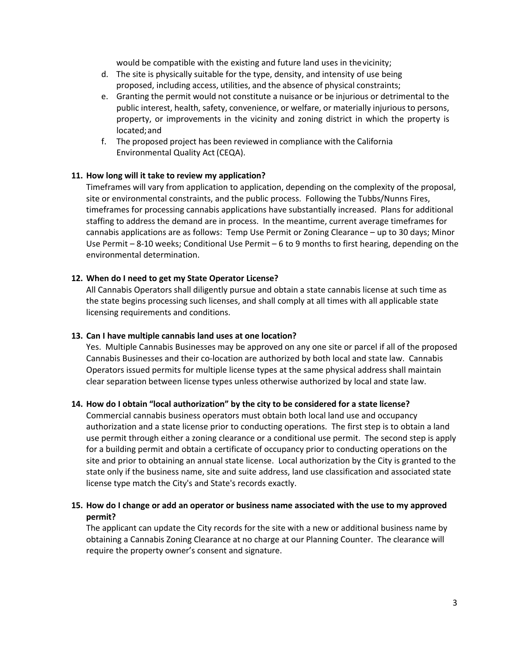would be compatible with the existing and future land uses in thevicinity;

- d. The site is physically suitable for the type, density, and intensity of use being proposed, including access, utilities, and the absence of physical constraints;
- e. Granting the permit would not constitute a nuisance or be injurious or detrimental to the public interest, health, safety, convenience, or welfare, or materially injurious to persons, property, or improvements in the vicinity and zoning district in which the property is located;and
- f. The proposed project has been reviewed in compliance with the California Environmental Quality Act (CEQA).

#### **11. How long will it take to review my application?**

Timeframes will vary from application to application, depending on the complexity of the proposal, site or environmental constraints, and the public process. Following the Tubbs/Nunns Fires, timeframes for processing cannabis applications have substantially increased. Plans for additional staffing to address the demand are in process. In the meantime, current average timeframes for cannabis applications are as follows: Temp Use Permit or Zoning Clearance – up to 30 days; Minor Use Permit – 8-10 weeks; Conditional Use Permit – 6 to 9 months to first hearing, depending on the environmental determination.

#### **12. When do I need to get my State Operator License?**

All Cannabis Operators shall diligently pursue and obtain a state cannabis license at such time as the state begins processing such licenses, and shall comply at all times with all applicable state licensing requirements and conditions.

#### **13. Can I have multiple cannabis land uses at one location?**

Yes. Multiple Cannabis Businesses may be approved on any one site or parcel if all of the proposed Cannabis Businesses and their co-location are authorized by both local and state law. Cannabis Operators issued permits for multiple license types at the same physical address shall maintain clear separation between license types unless otherwise authorized by local and state law.

#### **14. How do I obtain "local authorization" by the city to be considered for a state license?**

Commercial cannabis business operators must obtain both local land use and occupancy authorization and a state license prior to conducting operations. The first step is to obtain a land use permit through either a zoning clearance or a conditional use permit. The second step is apply for a building permit and obtain a certificate of occupancy prior to conducting operations on the site and prior to obtaining an annual state license. Local authorization by the City is granted to the state only if the business name, site and suite address, land use classification and associated state license type match the City's and State's records exactly.

#### **15. How do I change or add an operator or business name associated with the use to my approved permit?**

The applicant can update the City records for the site with a new or additional business name by obtaining a Cannabis Zoning Clearance at no charge at our Planning Counter. The clearance will require the property owner's consent and signature.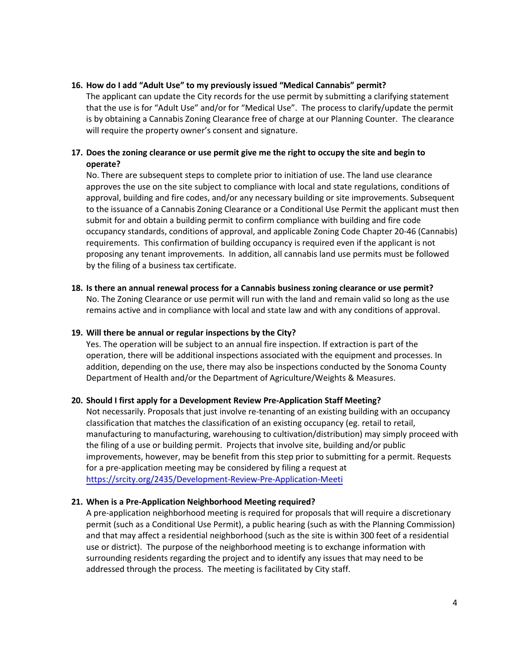#### **16. How do I add "Adult Use" to my previously issued "Medical Cannabis" permit?**

The applicant can update the City records for the use permit by submitting a clarifying statement that the use is for "Adult Use" and/or for "Medical Use". The process to clarify/update the permit is by obtaining a Cannabis Zoning Clearance free of charge at our Planning Counter. The clearance will require the property owner's consent and signature.

#### **17. Does the zoning clearance or use permit give me the right to occupy the site and begin to operate?**

No. There are subsequent steps to complete prior to initiation of use. The land use clearance approves the use on the site subject to compliance with local and state regulations, conditions of approval, building and fire codes, and/or any necessary building or site improvements. Subsequent to the issuance of a Cannabis Zoning Clearance or a Conditional Use Permit the applicant must then submit for and obtain a building permit to confirm compliance with building and fire code occupancy standards, conditions of approval, and applicable Zoning Code Chapter 20-46 (Cannabis) requirements. This confirmation of building occupancy is required even if the applicant is not proposing any tenant improvements. In addition, all cannabis land use permits must be followed by the filing of a business tax certificate.

### **18. Is there an annual renewal process for a Cannabis business zoning clearance or use permit?**

No. The Zoning Clearance or use permit will run with the land and remain valid so long as the use remains active and in compliance with local and state law and with any conditions of approval.

#### **19. Will there be annual or regular inspections by the City?**

Yes. The operation will be subject to an annual fire inspection. If extraction is part of the operation, there will be additional inspections associated with the equipment and processes. In addition, depending on the use, there may also be inspections conducted by the Sonoma County Department of Health and/or the Department of Agriculture/Weights & Measures.

#### **20. Should I first apply for a Development Review Pre-Application Staff Meeting?**

Not necessarily. Proposals that just involve re-tenanting of an existing building with an occupancy classification that matches the classification of an existing occupancy (eg. retail to retail, manufacturing to manufacturing, warehousing to cultivation/distribution) may simply proceed with the filing of a use or building permit. Projects that involve site, building and/or public improvements, however, may be benefit from this step prior to submitting for a permit. Requests for a pre-application meeting may be considered by filing a request at <https://srcity.org/2435/Development-Review-Pre-Application-Meeti>

#### **21. When is a Pre-Application Neighborhood Meeting required?**

A pre-application neighborhood meeting is required for proposals that will require a discretionary permit (such as a Conditional Use Permit), a public hearing (such as with the Planning Commission) and that may affect a residential neighborhood (such as the site is within 300 feet of a residential use or district). The purpose of the neighborhood meeting is to exchange information with surrounding residents regarding the project and to identify any issues that may need to be addressed through the process. The meeting is facilitated by City staff.